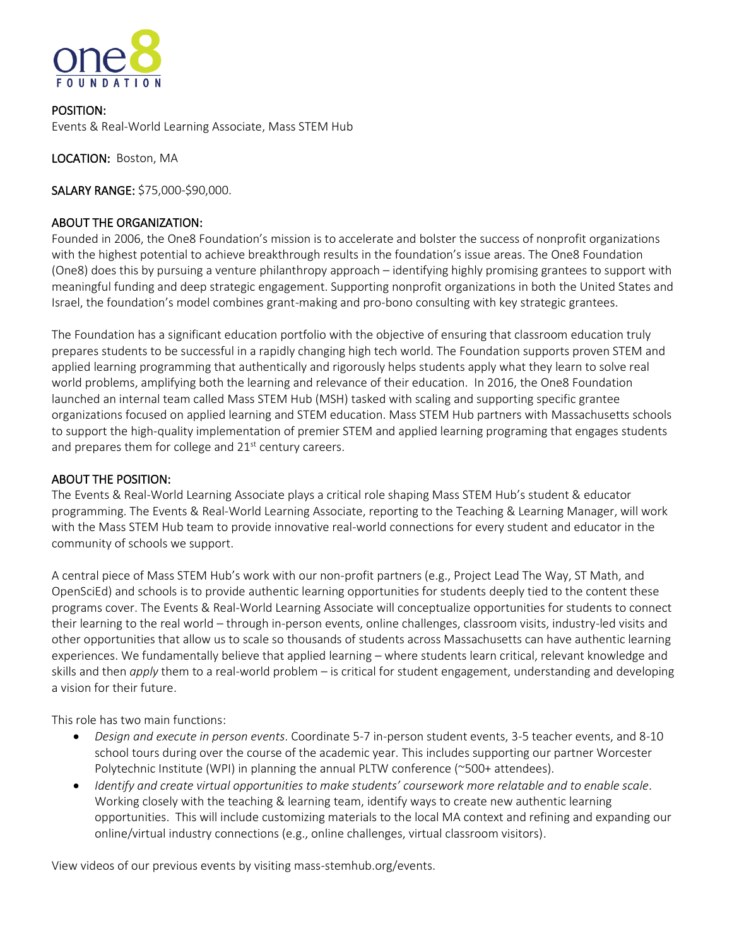

POSITION: Events & Real-World Learning Associate, Mass STEM Hub

LOCATION: Boston, MA

SALARY RANGE: \$75,000-\$90,000.

## ABOUT THE ORGANIZATION:

Founded in 2006, the One8 Foundation's mission is to accelerate and bolster the success of nonprofit organizations with the highest potential to achieve breakthrough results in the foundation's issue areas. The One8 Foundation (One8) does this by pursuing a venture philanthropy approach – identifying highly promising grantees to support with meaningful funding and deep strategic engagement. Supporting nonprofit organizations in both the United States and Israel, the foundation's model combines grant-making and pro-bono consulting with key strategic grantees.

The Foundation has a significant education portfolio with the objective of ensuring that classroom education truly prepares students to be successful in a rapidly changing high tech world. The Foundation supports proven STEM and applied learning programming that authentically and rigorously helps students apply what they learn to solve real world problems, amplifying both the learning and relevance of their education. In 2016, the One8 Foundation launched an internal team called Mass STEM Hub (MSH) tasked with scaling and supporting specific grantee organizations focused on applied learning and STEM education. Mass STEM Hub partners with Massachusetts schools to support the high-quality implementation of premier STEM and applied learning programing that engages students and prepares them for college and  $21<sup>st</sup>$  century careers.

### ABOUT THE POSITION:

The Events & Real-World Learning Associate plays a critical role shaping Mass STEM Hub's student & educator programming. The Events & Real-World Learning Associate, reporting to the Teaching & Learning Manager, will work with the Mass STEM Hub team to provide innovative real-world connections for every student and educator in the community of schools we support.

A central piece of Mass STEM Hub's work with our non-profit partners (e.g., Project Lead The Way, ST Math, and OpenSciEd) and schools is to provide authentic learning opportunities for students deeply tied to the content these programs cover. The Events & Real-World Learning Associate will conceptualize opportunities for students to connect their learning to the real world – through in-person events, online challenges, classroom visits, industry-led visits and other opportunities that allow us to scale so thousands of students across Massachusetts can have authentic learning experiences. We fundamentally believe that applied learning – where students learn critical, relevant knowledge and skills and then *apply* them to a real-world problem – is critical for student engagement, understanding and developing a vision for their future.

This role has two main functions:

- *Design and execute in person events*. Coordinate 5-7 in-person student events, 3-5 teacher events, and 8-10 school tours during over the course of the academic year. This includes supporting our partner Worcester Polytechnic Institute (WPI) in planning the annual PLTW conference (~500+ attendees).
- *Identify and create virtual opportunities to make students' coursework more relatable and to enable scale*. Working closely with the teaching & learning team, identify ways to create new authentic learning opportunities. This will include customizing materials to the local MA context and refining and expanding our online/virtual industry connections (e.g., online challenges, virtual classroom visitors).

View videos of our previous events by visiting mass-stemhub.org/events.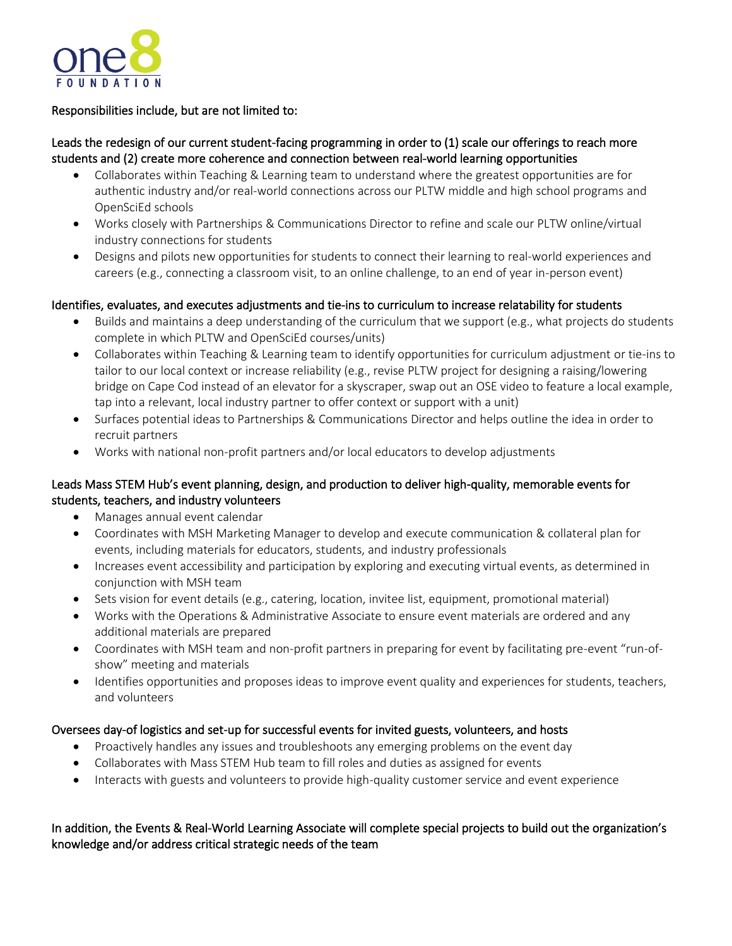

## Responsibilities include, but are not limited to:

# Leads the redesign of our current student-facing programming in order to (1) scale our offerings to reach more students and (2) create more coherence and connection between real-world learning opportunities

- Collaborates within Teaching & Learning team to understand where the greatest opportunities are for authentic industry and/or real-world connections across our PLTW middle and high school programs and OpenSciEd schools
- Works closely with Partnerships & Communications Director to refine and scale our PLTW online/virtual industry connections for students
- Designs and pilots new opportunities for students to connect their learning to real-world experiences and careers (e.g., connecting a classroom visit, to an online challenge, to an end of year in-person event)

#### Identifies, evaluates, and executes adjustments and tie-ins to curriculum to increase relatability for students

- Builds and maintains a deep understanding of the curriculum that we support (e.g., what projects do students complete in which PLTW and OpenSciEd courses/units)
- Collaborates within Teaching & Learning team to identify opportunities for curriculum adjustment or tie-ins to tailor to our local context or increase reliability (e.g., revise PLTW project for designing a raising/lowering bridge on Cape Cod instead of an elevator for a skyscraper, swap out an OSE video to feature a local example, tap into a relevant, local industry partner to offer context or support with a unit)
- Surfaces potential ideas to Partnerships & Communications Director and helps outline the idea in order to recruit partners
- Works with national non-profit partners and/or local educators to develop adjustments

# Leads Mass STEM Hub's event planning, design, and production to deliver high-quality, memorable events for students, teachers, and industry volunteers

- Manages annual event calendar
- Coordinates with MSH Marketing Manager to develop and execute communication & collateral plan for events, including materials for educators, students, and industry professionals
- Increases event accessibility and participation by exploring and executing virtual events, as determined in conjunction with MSH team
- Sets vision for event details (e.g., catering, location, invitee list, equipment, promotional material)
- Works with the Operations & Administrative Associate to ensure event materials are ordered and any additional materials are prepared
- Coordinates with MSH team and non-profit partners in preparing for event by facilitating pre-event "run-ofshow" meeting and materials
- Identifies opportunities and proposes ideas to improve event quality and experiences for students, teachers, and volunteers

#### Oversees day-of logistics and set-up for successful events for invited guests, volunteers, and hosts

- Proactively handles any issues and troubleshoots any emerging problems on the event day
- Collaborates with Mass STEM Hub team to fill roles and duties as assigned for events
- Interacts with guests and volunteers to provide high-quality customer service and event experience

# In addition, the Events & Real-World Learning Associate will complete special projects to build out the organization's knowledge and/or address critical strategic needs of the team